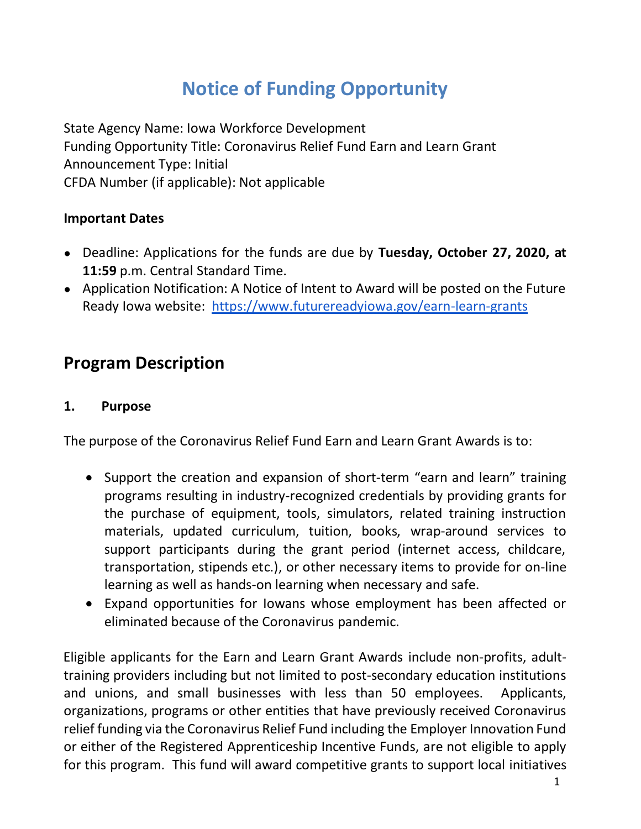# **Notice of Funding Opportunity**

State Agency Name: Iowa Workforce Development Funding Opportunity Title: Coronavirus Relief Fund Earn and Learn Grant Announcement Type: Initial CFDA Number (if applicable): Not applicable

### **Important Dates**

- Deadline: Applications for the funds are due by **Tuesday, October 27, 2020, at 11:59** p.m. Central Standard Time.
- Application Notification: A Notice of Intent to Award will be posted on the Future Ready Iowa website: https://www.futurereadyiowa.gov/earn-learn-grants

## **Program Description**

### **1. Purpose**

The purpose of the Coronavirus Relief Fund Earn and Learn Grant Awards is to:

- Support the creation and expansion of short-term "earn and learn" training programs resulting in industry-recognized credentials by providing grants for the purchase of equipment, tools, simulators, related training instruction materials, updated curriculum, tuition, books, wrap-around services to support participants during the grant period (internet access, childcare, transportation, stipends etc.), or other necessary items to provide for on-line learning as well as hands-on learning when necessary and safe.
- Expand opportunities for Iowans whose employment has been affected or eliminated because of the Coronavirus pandemic.

Eligible applicants for the Earn and Learn Grant Awards include non-profits, adulttraining providers including but not limited to post-secondary education institutions and unions, and small businesses with less than 50 employees. Applicants, organizations, programs or other entities that have previously received Coronavirus relief funding via the Coronavirus Relief Fund including the Employer Innovation Fund or either of the Registered Apprenticeship Incentive Funds, are not eligible to apply for this program. This fund will award competitive grants to support local initiatives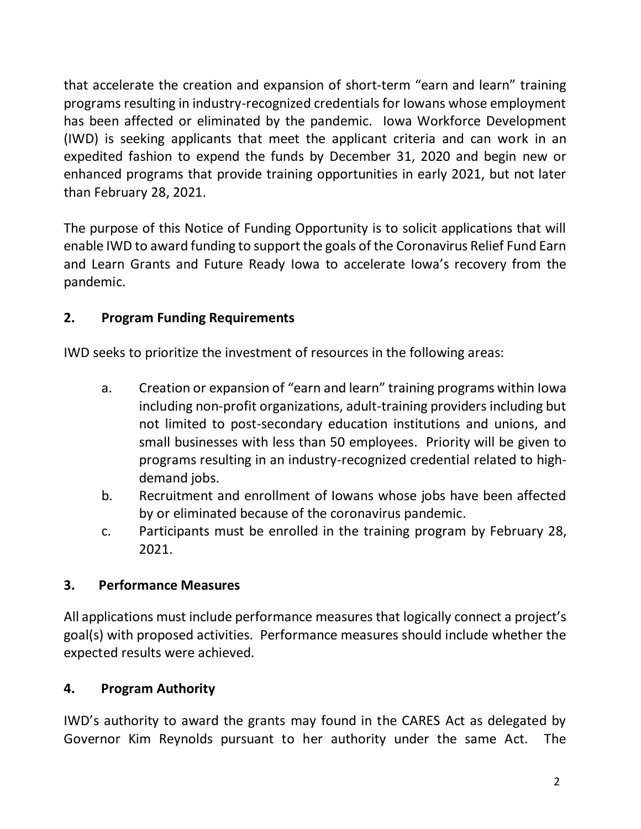that accelerate the creation and expansion of short-term "earn and learn" training programs resulting in industry-recognized credentials for Iowans whose employment has been affected or eliminated by the pandemic. Iowa Workforce Development (IWD) is seeking applicants that meet the applicant criteria and can work in an expedited fashion to expend the funds by December 31, 2020 and begin new or enhanced programs that provide training opportunities in early 2021, but not later than February 28, 2021.

The purpose of this Notice of Funding Opportunity is to solicit applications that will enable IWD to award funding to support the goals of the Coronavirus Relief Fund Earn and Learn Grants and Future Ready Iowa to accelerate Iowa's recovery from the pandemic.

## **2. Program Funding Requirements**

IWD seeks to prioritize the investment of resources in the following areas:

- a. Creation or expansion of "earn and learn" training programs within Iowa including non-profit organizations, adult-training providers including but not limited to post-secondary education institutions and unions, and small businesses with less than 50 employees. Priority will be given to programs resulting in an industry-recognized credential related to highdemand jobs.
- b. Recruitment and enrollment of Iowans whose jobs have been affected by or eliminated because of the coronavirus pandemic.
- c. Participants must be enrolled in the training program by February 28, 2021.

## **3. Performance Measures**

All applications must include performance measures that logically connect a project's goal(s) with proposed activities. Performance measures should include whether the expected results were achieved.

## **4. Program Authority**

IWD's authority to award the grants may found in the CARES Act as delegated by Governor Kim Reynolds pursuant to her authority under the same Act. The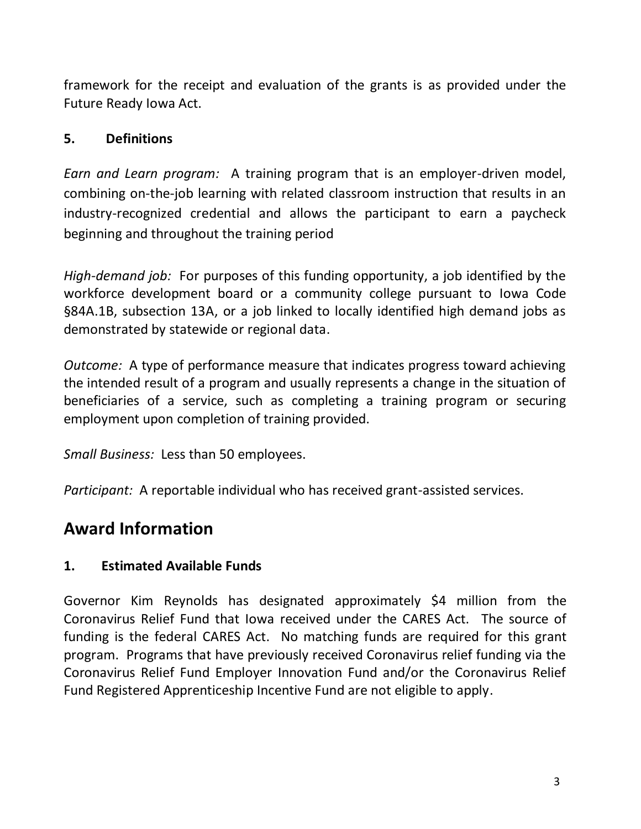framework for the receipt and evaluation of the grants is as provided under the Future Ready Iowa Act.

### **5. Definitions**

*Earn and Learn program:* A training program that is an employer-driven model, combining on-the-job learning with related classroom instruction that results in an industry-recognized credential and allows the participant to earn a paycheck beginning and throughout the training period

*High-demand job:* For purposes of this funding opportunity, a job identified by the workforce development board or a community college pursuant to Iowa Code §84A.1B, subsection 13A, or a job linked to locally identified high demand jobs as demonstrated by statewide or regional data.

*Outcome:* A type of performance measure that indicates progress toward achieving the intended result of a program and usually represents a change in the situation of beneficiaries of a service, such as completing a training program or securing employment upon completion of training provided.

*Small Business:* Less than 50 employees.

*Participant:* A reportable individual who has received grant-assisted services.

## **Award Information**

## **1. Estimated Available Funds**

Governor Kim Reynolds has designated approximately \$4 million from the Coronavirus Relief Fund that Iowa received under the CARES Act. The source of funding is the federal CARES Act. No matching funds are required for this grant program. Programs that have previously received Coronavirus relief funding via the Coronavirus Relief Fund Employer Innovation Fund and/or the Coronavirus Relief Fund Registered Apprenticeship Incentive Fund are not eligible to apply.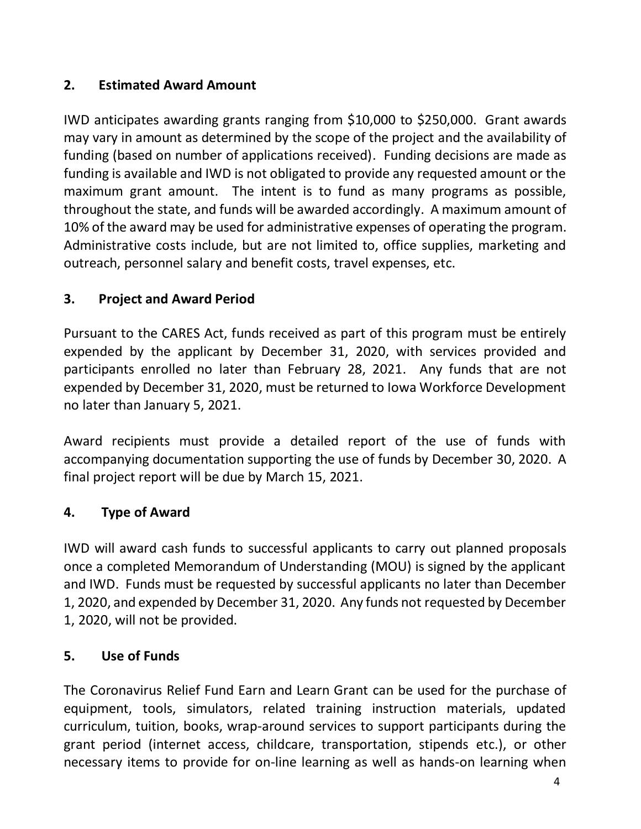### **2. Estimated Award Amount**

IWD anticipates awarding grants ranging from \$10,000 to \$250,000. Grant awards may vary in amount as determined by the scope of the project and the availability of funding (based on number of applications received). Funding decisions are made as funding is available and IWD is not obligated to provide any requested amount or the maximum grant amount. The intent is to fund as many programs as possible, throughout the state, and funds will be awarded accordingly. A maximum amount of 10% of the award may be used for administrative expenses of operating the program. Administrative costs include, but are not limited to, office supplies, marketing and outreach, personnel salary and benefit costs, travel expenses, etc.

### **3. Project and Award Period**

Pursuant to the CARES Act, funds received as part of this program must be entirely expended by the applicant by December 31, 2020, with services provided and participants enrolled no later than February 28, 2021. Any funds that are not expended by December 31, 2020, must be returned to Iowa Workforce Development no later than January 5, 2021.

Award recipients must provide a detailed report of the use of funds with accompanying documentation supporting the use of funds by December 30, 2020. A final project report will be due by March 15, 2021.

### **4. Type of Award**

IWD will award cash funds to successful applicants to carry out planned proposals once a completed Memorandum of Understanding (MOU) is signed by the applicant and IWD. Funds must be requested by successful applicants no later than December 1, 2020, and expended by December 31, 2020. Any funds not requested by December 1, 2020, will not be provided.

### **5. Use of Funds**

The Coronavirus Relief Fund Earn and Learn Grant can be used for the purchase of equipment, tools, simulators, related training instruction materials, updated curriculum, tuition, books, wrap-around services to support participants during the grant period (internet access, childcare, transportation, stipends etc.), or other necessary items to provide for on-line learning as well as hands-on learning when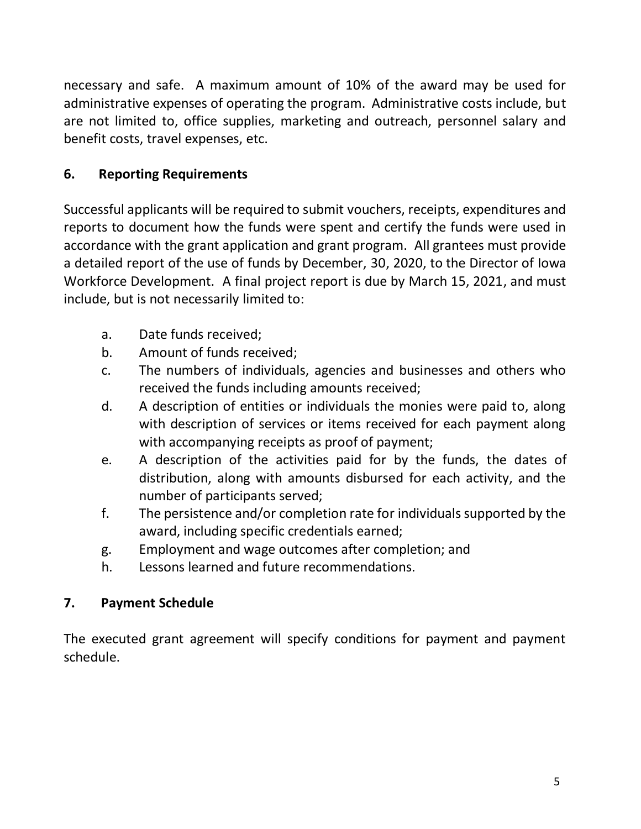necessary and safe. A maximum amount of 10% of the award may be used for administrative expenses of operating the program. Administrative costs include, but are not limited to, office supplies, marketing and outreach, personnel salary and benefit costs, travel expenses, etc.

## **6. Reporting Requirements**

Successful applicants will be required to submit vouchers, receipts, expenditures and reports to document how the funds were spent and certify the funds were used in accordance with the grant application and grant program. All grantees must provide a detailed report of the use of funds by December, 30, 2020, to the Director of Iowa Workforce Development. A final project report is due by March 15, 2021, and must include, but is not necessarily limited to:

- a. Date funds received;
- b. Amount of funds received;
- c. The numbers of individuals, agencies and businesses and others who received the funds including amounts received;
- d. A description of entities or individuals the monies were paid to, along with description of services or items received for each payment along with accompanying receipts as proof of payment;
- e. A description of the activities paid for by the funds, the dates of distribution, along with amounts disbursed for each activity, and the number of participants served;
- f. The persistence and/or completion rate for individuals supported by the award, including specific credentials earned;
- g. Employment and wage outcomes after completion; and
- h. Lessons learned and future recommendations.

## **7. Payment Schedule**

The executed grant agreement will specify conditions for payment and payment schedule.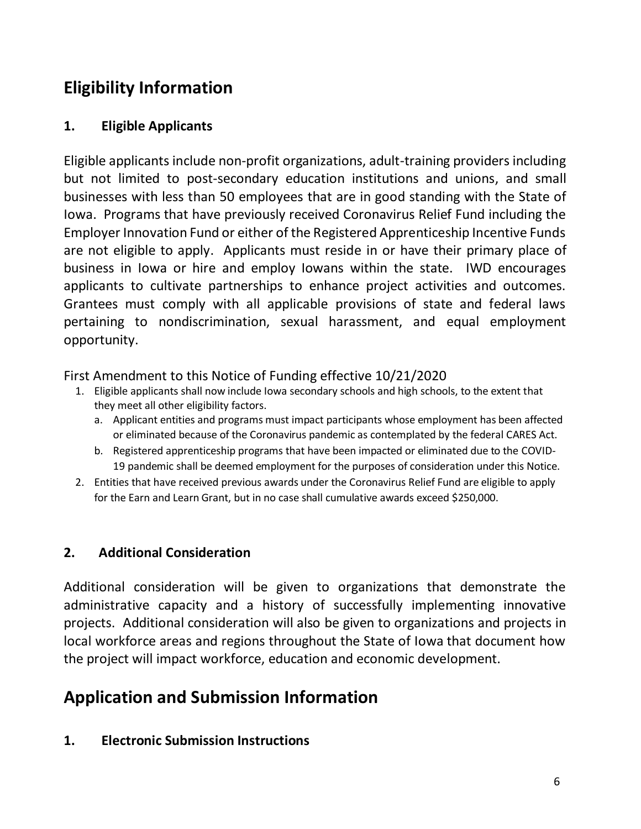## **Eligibility Information**

### **1. Eligible Applicants**

Eligible applicants include non-profit organizations, adult-training providers including but not limited to post-secondary education institutions and unions, and small businesses with less than 50 employees that are in good standing with the State of Iowa. Programs that have previously received Coronavirus Relief Fund including the Employer Innovation Fund or either of the Registered Apprenticeship Incentive Funds are not eligible to apply. Applicants must reside in or have their primary place of business in Iowa or hire and employ Iowans within the state. IWD encourages applicants to cultivate partnerships to enhance project activities and outcomes. Grantees must comply with all applicable provisions of state and federal laws pertaining to nondiscrimination, sexual harassment, and equal employment opportunity.

#### First Amendment to this Notice of Funding effective 10/21/2020

- 1. Eligible applicants shall now include Iowa secondary schools and high schools, to the extent that they meet all other eligibility factors.
	- a. Applicant entities and programs must impact participants whose employment has been affected or eliminated because of the Coronavirus pandemic as contemplated by the federal CARES Act.
	- b. Registered apprenticeship programs that have been impacted or eliminated due to the COVID-19 pandemic shall be deemed employment for the purposes of consideration under this Notice.
- 2. Entities that have received previous awards under the Coronavirus Relief Fund are eligible to apply for the Earn and Learn Grant, but in no case shall cumulative awards exceed \$250,000.

### **2. Additional Consideration**

Additional consideration will be given to organizations that demonstrate the administrative capacity and a history of successfully implementing innovative projects. Additional consideration will also be given to organizations and projects in local workforce areas and regions throughout the State of Iowa that document how the project will impact workforce, education and economic development.

## **Application and Submission Information**

**1. Electronic Submission Instructions**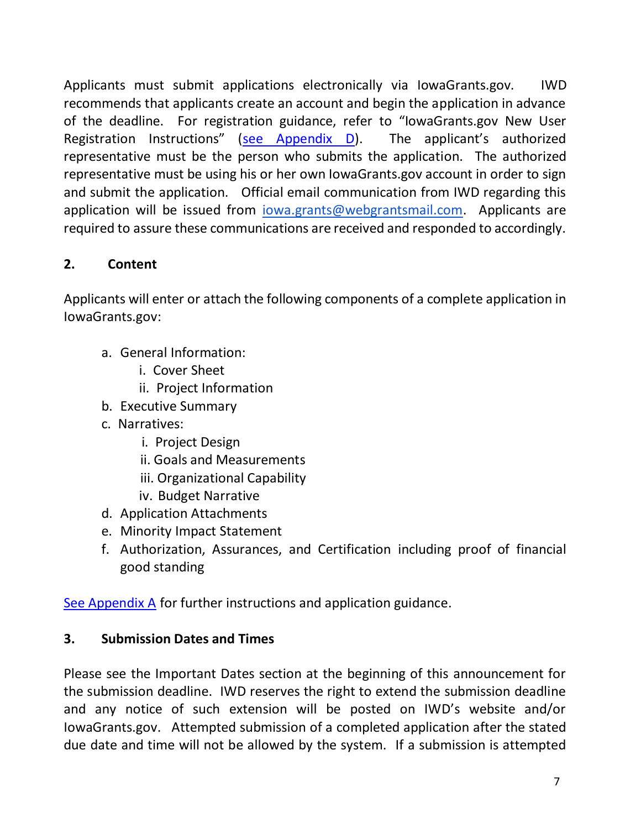Applicants must submit applications electronically via IowaGrants.gov. IWD recommends that applicants create an account and begin the application in advance of the deadline. For registration guidance, refer to "IowaGrants.gov New User Registration Instructions" (see Appendix D). The applicant's authorized representative must be the person who submits the application. The authorized representative must be using his or her own IowaGrants.gov account in order to sign and submit the application. Official email communication from IWD regarding this application will be issued from *iowa.grants@webgrantsmail.com*. Applicants are required to assure these communications are received and responded to accordingly.

## **2. Content**

Applicants will enter or attach the following components of a complete application in IowaGrants.gov:

- a. General Information:
	- i. Cover Sheet
	- ii. Project Information
- b. Executive Summary
- c. Narratives:
	- i. Project Design
	- ii. Goals and Measurements
	- iii. Organizational Capability
	- iv. Budget Narrative
- d. Application Attachments
- e. Minority Impact Statement
- f. Authorization, Assurances, and Certification including proof of financial good standing

See Appendix A for further instructions and application guidance.

## **3. Submission Dates and Times**

Please see the Important Dates section at the beginning of this announcement for the submission deadline. IWD reserves the right to extend the submission deadline and any notice of such extension will be posted on IWD's website and/or IowaGrants.gov. Attempted submission of a completed application after the stated due date and time will not be allowed by the system. If a submission is attempted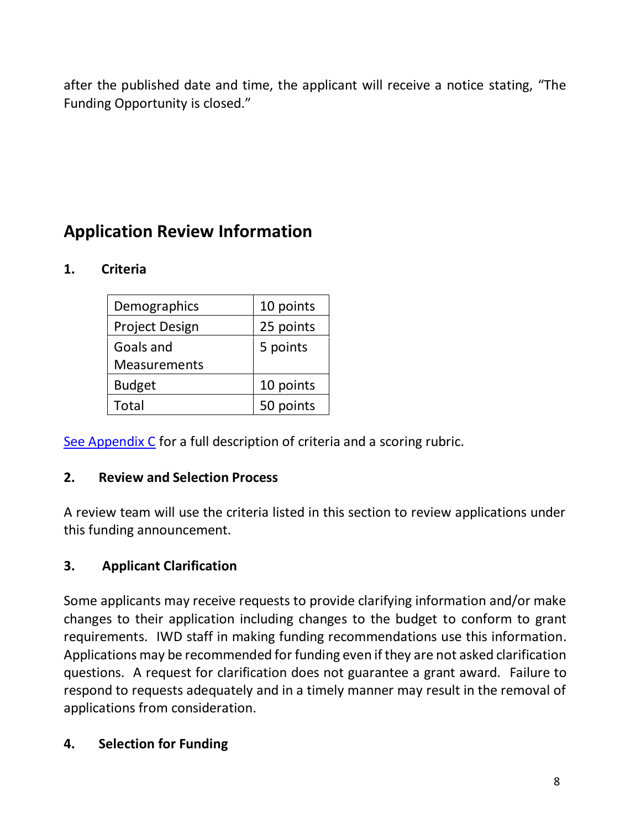after the published date and time, the applicant will receive a notice stating, "The Funding Opportunity is closed."

## **Application Review Information**

## **1. Criteria**

| Demographics          | 10 points |
|-----------------------|-----------|
| <b>Project Design</b> | 25 points |
| Goals and             | 5 points  |
| <b>Measurements</b>   |           |
| <b>Budget</b>         | 10 points |
| Total                 | 50 points |

See Appendix C for a full description of criteria and a scoring rubric.

## **2. Review and Selection Process**

A review team will use the criteria listed in this section to review applications under this funding announcement.

## **3. Applicant Clarification**

Some applicants may receive requests to provide clarifying information and/or make changes to their application including changes to the budget to conform to grant requirements. IWD staff in making funding recommendations use this information. Applications may be recommended for funding even if they are not asked clarification questions. A request for clarification does not guarantee a grant award. Failure to respond to requests adequately and in a timely manner may result in the removal of applications from consideration.

## **4. Selection for Funding**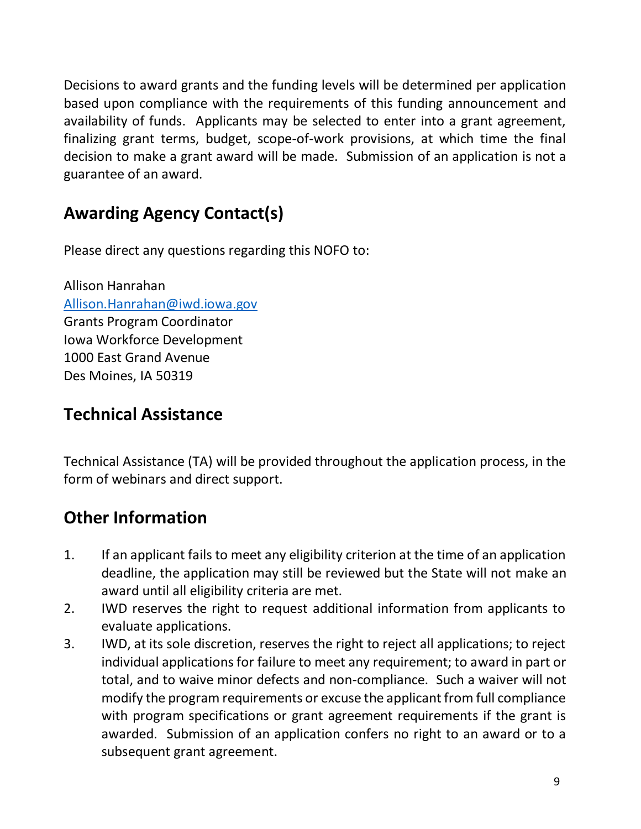Decisions to award grants and the funding levels will be determined per application based upon compliance with the requirements of this funding announcement and availability of funds. Applicants may be selected to enter into a grant agreement, finalizing grant terms, budget, scope-of-work provisions, at which time the final decision to make a grant award will be made. Submission of an application is not a guarantee of an award.

## **Awarding Agency Contact(s)**

Please direct any questions regarding this NOFO to:

Allison Hanrahan [Allison.Hanrahan@iwd.iowa.gov](mailto:Allison.Hanrahan@iwd.iowa.gov) Grants Program Coordinator Iowa Workforce Development 1000 East Grand Avenue Des Moines, IA 50319

## **Technical Assistance**

Technical Assistance (TA) will be provided throughout the application process, in the form of webinars and direct support.

# **Other Information**

- 1. If an applicant fails to meet any eligibility criterion at the time of an application deadline, the application may still be reviewed but the State will not make an award until all eligibility criteria are met.
- 2. IWD reserves the right to request additional information from applicants to evaluate applications.
- 3. IWD, at its sole discretion, reserves the right to reject all applications; to reject individual applications for failure to meet any requirement; to award in part or total, and to waive minor defects and non-compliance. Such a waiver will not modify the program requirements or excuse the applicant from full compliance with program specifications or grant agreement requirements if the grant is awarded. Submission of an application confers no right to an award or to a subsequent grant agreement.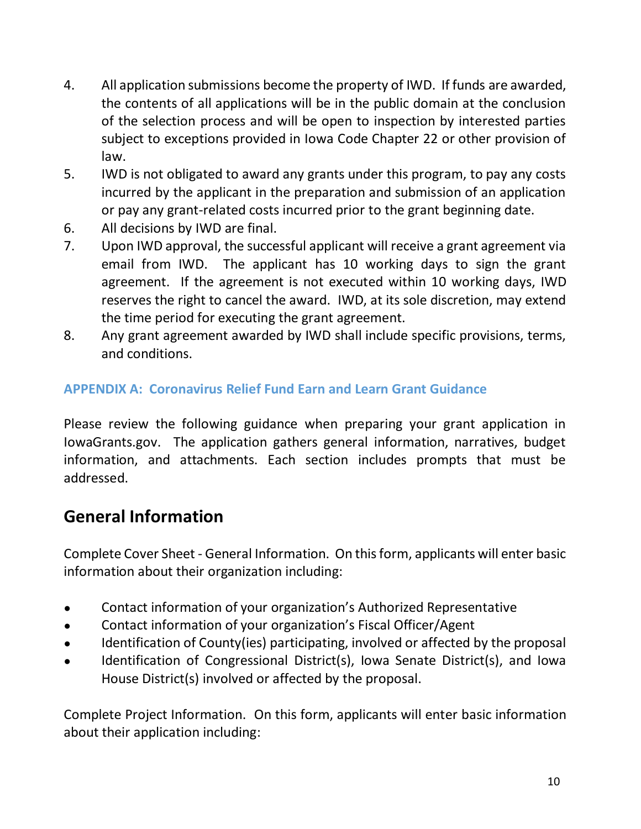- 4. All application submissions become the property of IWD. If funds are awarded, the contents of all applications will be in the public domain at the conclusion of the selection process and will be open to inspection by interested parties subject to exceptions provided in Iowa Code Chapter 22 or other provision of law.
- 5. IWD is not obligated to award any grants under this program, to pay any costs incurred by the applicant in the preparation and submission of an application or pay any grant-related costs incurred prior to the grant beginning date.
- 6. All decisions by IWD are final.
- 7. Upon IWD approval, the successful applicant will receive a grant agreement via email from IWD. The applicant has 10 working days to sign the grant agreement. If the agreement is not executed within 10 working days, IWD reserves the right to cancel the award. IWD, at its sole discretion, may extend the time period for executing the grant agreement.
- 8. Any grant agreement awarded by IWD shall include specific provisions, terms, and conditions.

## **APPENDIX A: Coronavirus Relief Fund Earn and Learn Grant Guidance**

Please review the following guidance when preparing your grant application in IowaGrants.gov. The application gathers general information, narratives, budget information, and attachments. Each section includes prompts that must be addressed.

## **General Information**

Complete Cover Sheet - General Information. On this form, applicants will enter basic information about their organization including:

- Contact information of your organization's Authorized Representative
- Contact information of your organization's Fiscal Officer/Agent
- Identification of County(ies) participating, involved or affected by the proposal
- Identification of Congressional District(s), Iowa Senate District(s), and Iowa House District(s) involved or affected by the proposal.

Complete Project Information. On this form, applicants will enter basic information about their application including: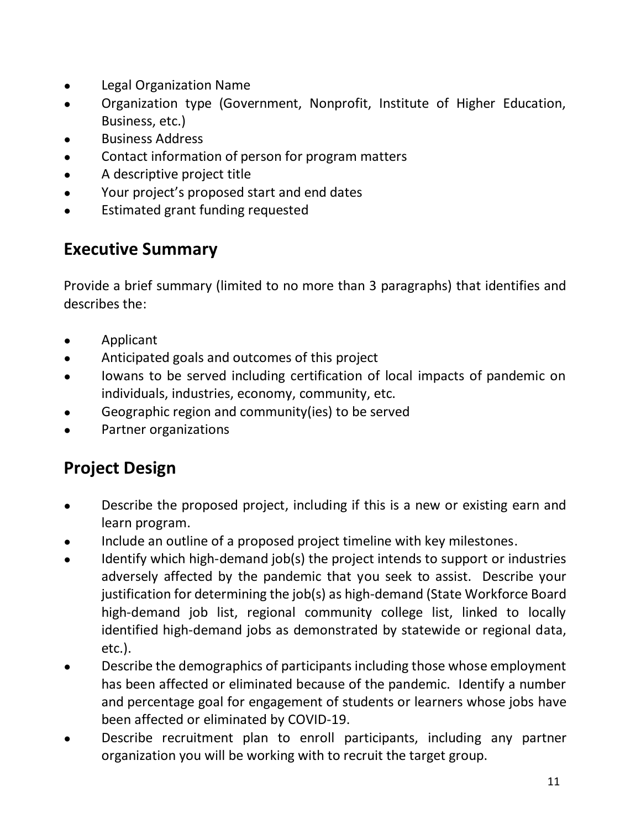- **Legal Organization Name**
- Organization type (Government, Nonprofit, Institute of Higher Education, Business, etc.)
- Business Address
- Contact information of person for program matters
- A descriptive project title
- Your project's proposed start and end dates
- Estimated grant funding requested

## **Executive Summary**

Provide a brief summary (limited to no more than 3 paragraphs) that identifies and describes the:

- Applicant
- Anticipated goals and outcomes of this project
- lowans to be served including certification of local impacts of pandemic on individuals, industries, economy, community, etc.
- Geographic region and community(ies) to be served
- Partner organizations

## **Project Design**

- Describe the proposed project, including if this is a new or existing earn and learn program.
- Include an outline of a proposed project timeline with key milestones.
- Identify which high-demand job(s) the project intends to support or industries adversely affected by the pandemic that you seek to assist. Describe your justification for determining the job(s) as high-demand (State Workforce Board high-demand job list, regional community college list, linked to locally identified high-demand jobs as demonstrated by statewide or regional data, etc.).
- Describe the demographics of participants including those whose employment has been affected or eliminated because of the pandemic. Identify a number and percentage goal for engagement of students or learners whose jobs have been affected or eliminated by COVID-19.
- Describe recruitment plan to enroll participants, including any partner organization you will be working with to recruit the target group.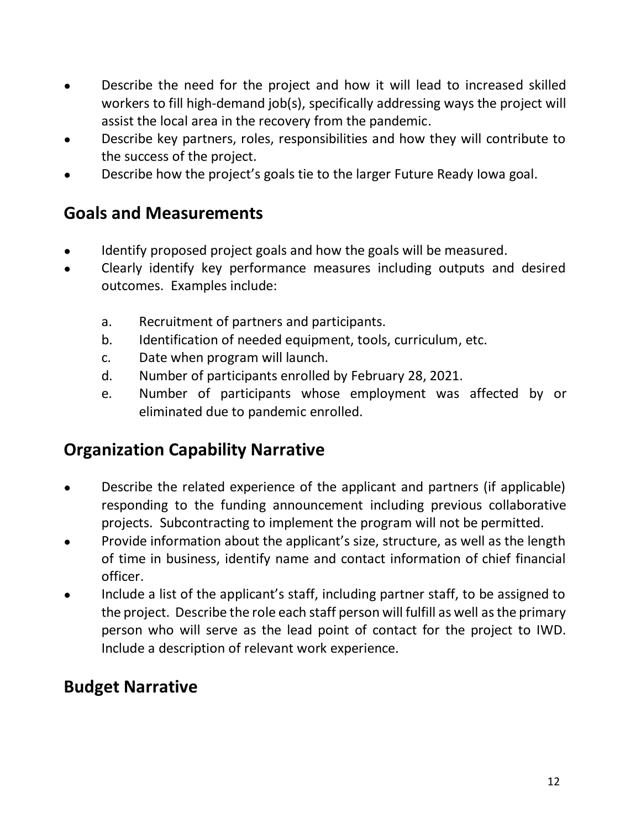- Describe the need for the project and how it will lead to increased skilled workers to fill high-demand job(s), specifically addressing ways the project will assist the local area in the recovery from the pandemic.
- Describe key partners, roles, responsibilities and how they will contribute to the success of the project.
- Describe how the project's goals tie to the larger Future Ready Iowa goal.

## **Goals and Measurements**

- Identify proposed project goals and how the goals will be measured.
- Clearly identify key performance measures including outputs and desired outcomes. Examples include:
	- a. Recruitment of partners and participants.
	- b. Identification of needed equipment, tools, curriculum, etc.
	- c. Date when program will launch.
	- d. Number of participants enrolled by February 28, 2021.
	- e. Number of participants whose employment was affected by or eliminated due to pandemic enrolled.

# **Organization Capability Narrative**

- Describe the related experience of the applicant and partners (if applicable) responding to the funding announcement including previous collaborative projects. Subcontracting to implement the program will not be permitted.
- Provide information about the applicant's size, structure, as well as the length of time in business, identify name and contact information of chief financial officer.
- Include a list of the applicant's staff, including partner staff, to be assigned to the project. Describe the role each staff person will fulfill as well as the primary person who will serve as the lead point of contact for the project to IWD. Include a description of relevant work experience.

# **Budget Narrative**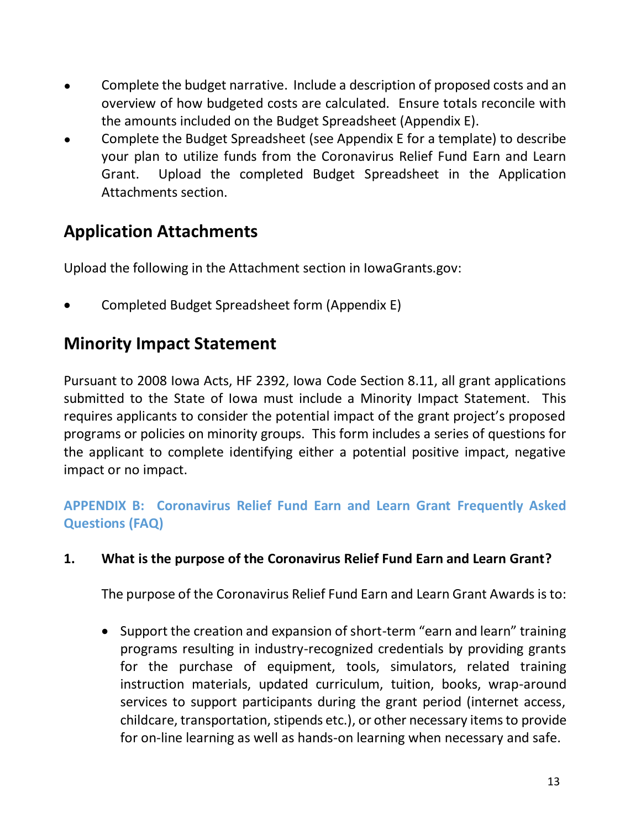- Complete the budget narrative. Include a description of proposed costs and an overview of how budgeted costs are calculated. Ensure totals reconcile with the amounts included on the Budget Spreadsheet (Appendix E).
- Complete the Budget Spreadsheet (see Appendix E for a template) to describe your plan to utilize funds from the Coronavirus Relief Fund Earn and Learn Grant. Upload the completed Budget Spreadsheet in the Application Attachments section.

## **Application Attachments**

Upload the following in the Attachment section in IowaGrants.gov:

Completed Budget Spreadsheet form (Appendix E)

## **Minority Impact Statement**

Pursuant to 2008 Iowa Acts, HF 2392, Iowa Code Section 8.11, all grant applications submitted to the State of Iowa must include a Minority Impact Statement. This requires applicants to consider the potential impact of the grant project's proposed programs or policies on minority groups. This form includes a series of questions for the applicant to complete identifying either a potential positive impact, negative impact or no impact.

## **APPENDIX B: Coronavirus Relief Fund Earn and Learn Grant Frequently Asked Questions (FAQ)**

### **1. What is the purpose of the Coronavirus Relief Fund Earn and Learn Grant?**

The purpose of the Coronavirus Relief Fund Earn and Learn Grant Awards is to:

• Support the creation and expansion of short-term "earn and learn" training programs resulting in industry-recognized credentials by providing grants for the purchase of equipment, tools, simulators, related training instruction materials, updated curriculum, tuition, books, wrap-around services to support participants during the grant period (internet access, childcare, transportation, stipends etc.), or other necessary items to provide for on-line learning as well as hands-on learning when necessary and safe.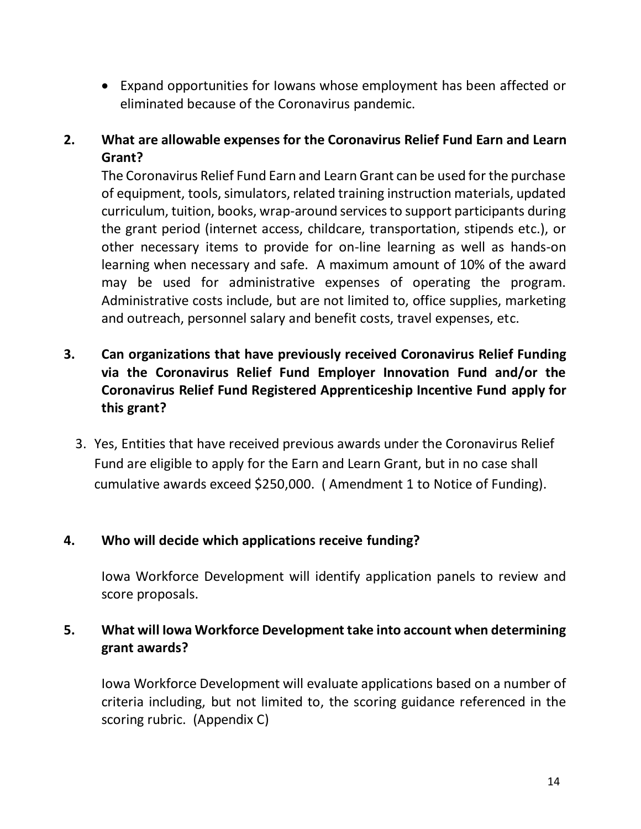Expand opportunities for Iowans whose employment has been affected or eliminated because of the Coronavirus pandemic.

### **2. What are allowable expenses for the Coronavirus Relief Fund Earn and Learn Grant?**

The Coronavirus Relief Fund Earn and Learn Grant can be used for the purchase of equipment, tools, simulators, related training instruction materials, updated curriculum, tuition, books, wrap-around services to support participants during the grant period (internet access, childcare, transportation, stipends etc.), or other necessary items to provide for on-line learning as well as hands-on learning when necessary and safe. A maximum amount of 10% of the award may be used for administrative expenses of operating the program. Administrative costs include, but are not limited to, office supplies, marketing and outreach, personnel salary and benefit costs, travel expenses, etc.

## **3. Can organizations that have previously received Coronavirus Relief Funding via the Coronavirus Relief Fund Employer Innovation Fund and/or the Coronavirus Relief Fund Registered Apprenticeship Incentive Fund apply for this grant?**

3. Yes, Entities that have received previous awards under the Coronavirus Relief Fund are eligible to apply for the Earn and Learn Grant, but in no case shall cumulative awards exceed \$250,000. ( Amendment 1 to Notice of Funding).

#### **4. Who will decide which applications receive funding?**

Iowa Workforce Development will identify application panels to review and score proposals.

### **5. What will Iowa Workforce Development take into account when determining grant awards?**

Iowa Workforce Development will evaluate applications based on a number of criteria including, but not limited to, the scoring guidance referenced in the scoring rubric. (Appendix C)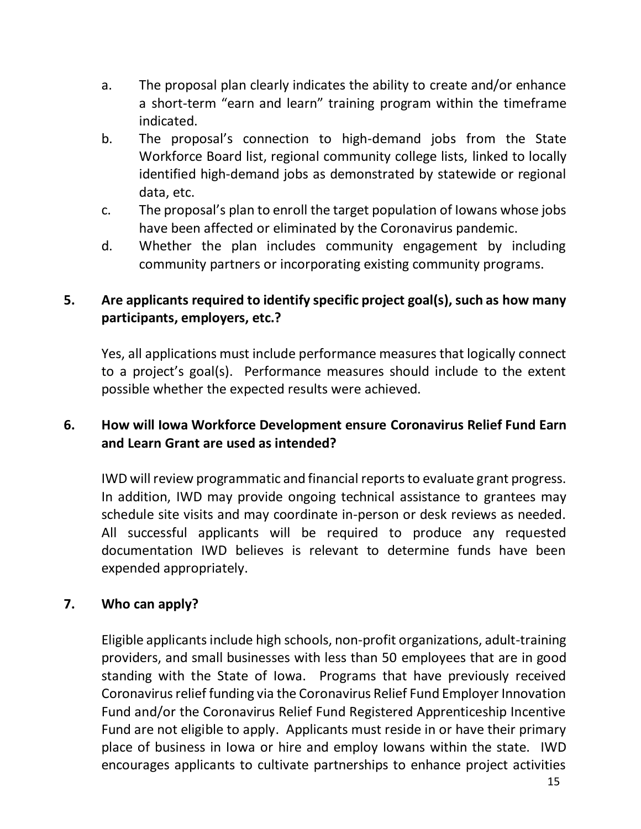- a. The proposal plan clearly indicates the ability to create and/or enhance a short-term "earn and learn" training program within the timeframe indicated.
- b. The proposal's connection to high-demand jobs from the State Workforce Board list, regional community college lists, linked to locally identified high-demand jobs as demonstrated by statewide or regional data, etc.
- c. The proposal's plan to enroll the target population of Iowans whose jobs have been affected or eliminated by the Coronavirus pandemic.
- d. Whether the plan includes community engagement by including community partners or incorporating existing community programs.

### **5. Are applicants required to identify specific project goal(s), such as how many participants, employers, etc.?**

Yes, all applications must include performance measures that logically connect to a project's goal(s). Performance measures should include to the extent possible whether the expected results were achieved.

### **6. How will Iowa Workforce Development ensure Coronavirus Relief Fund Earn and Learn Grant are used as intended?**

IWD will review programmatic and financial reports to evaluate grant progress. In addition, IWD may provide ongoing technical assistance to grantees may schedule site visits and may coordinate in-person or desk reviews as needed. All successful applicants will be required to produce any requested documentation IWD believes is relevant to determine funds have been expended appropriately.

### **7. Who can apply?**

Eligible applicants include high schools, non-profit organizations, adult-training providers, and small businesses with less than 50 employees that are in good standing with the State of Iowa. Programs that have previously received Coronavirus relief funding via the Coronavirus Relief Fund Employer Innovation Fund and/or the Coronavirus Relief Fund Registered Apprenticeship Incentive Fund are not eligible to apply. Applicants must reside in or have their primary place of business in Iowa or hire and employ Iowans within the state. IWD encourages applicants to cultivate partnerships to enhance project activities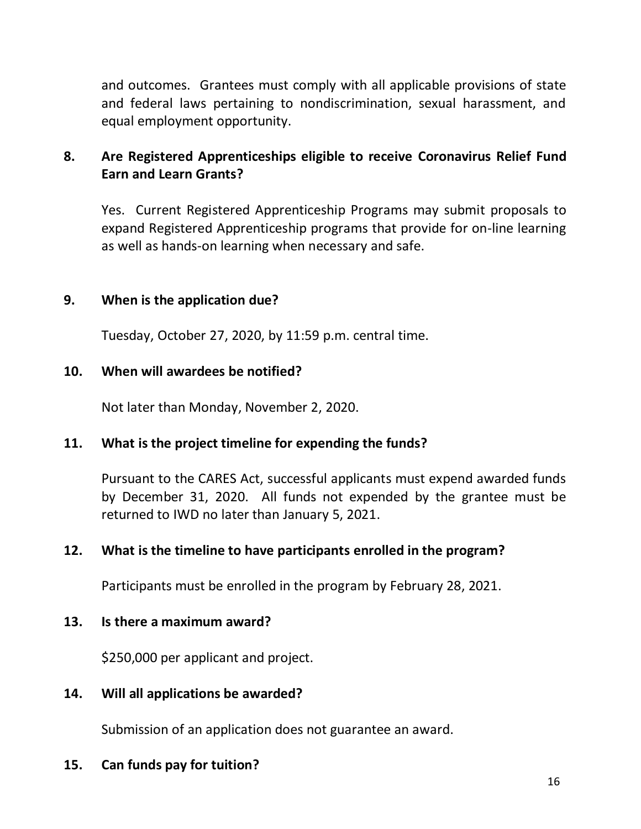and outcomes. Grantees must comply with all applicable provisions of state and federal laws pertaining to nondiscrimination, sexual harassment, and equal employment opportunity.

### **8. Are Registered Apprenticeships eligible to receive Coronavirus Relief Fund Earn and Learn Grants?**

Yes. Current Registered Apprenticeship Programs may submit proposals to expand Registered Apprenticeship programs that provide for on-line learning as well as hands-on learning when necessary and safe.

### **9. When is the application due?**

Tuesday, October 27, 2020, by 11:59 p.m. central time.

#### **10. When will awardees be notified?**

Not later than Monday, November 2, 2020.

#### **11. What is the project timeline for expending the funds?**

Pursuant to the CARES Act, successful applicants must expend awarded funds by December 31, 2020. All funds not expended by the grantee must be returned to IWD no later than January 5, 2021.

#### **12. What is the timeline to have participants enrolled in the program?**

Participants must be enrolled in the program by February 28, 2021.

#### **13. Is there a maximum award?**

\$250,000 per applicant and project.

#### **14. Will all applications be awarded?**

Submission of an application does not guarantee an award.

#### **15. Can funds pay for tuition?**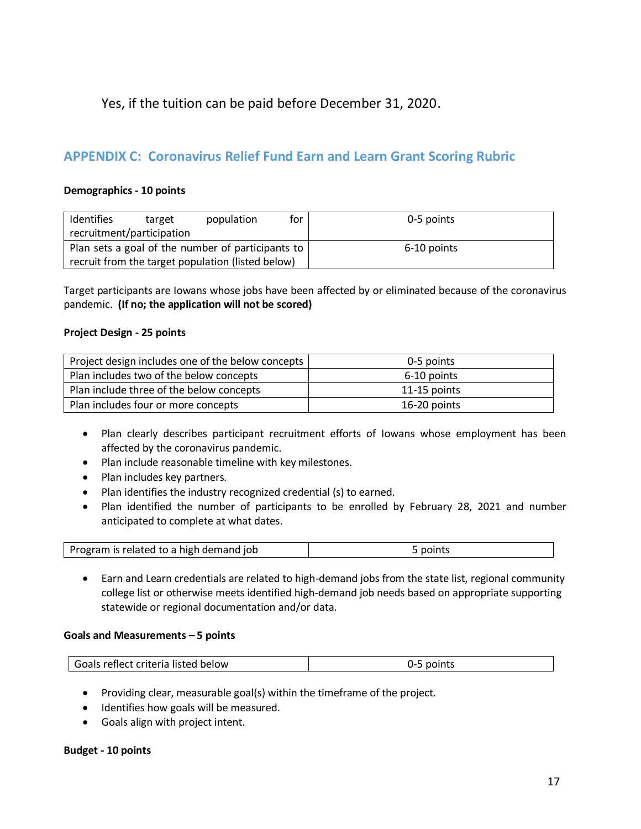#### Yes, if the tuition can be paid before December 31, 2020.

#### **APPENDIX C: Coronavirus Relief Fund Earn and Learn Grant Scoring Rubric**

#### **Demographics - 10 points**

| Identifies                                        | target | population                                        | for | 0-5 points  |
|---------------------------------------------------|--------|---------------------------------------------------|-----|-------------|
| recruitment/participation                         |        |                                                   |     |             |
| Plan sets a goal of the number of participants to |        |                                                   |     | 6-10 points |
|                                                   |        | recruit from the target population (listed below) |     |             |

Target participants are Iowans whose jobs have been affected by or eliminated because of the coronavirus pandemic. **(If no; the application will not be scored)**

#### **Project Design - 25 points**

| Project design includes one of the below concepts | 0-5 points   |
|---------------------------------------------------|--------------|
| Plan includes two of the below concepts           | 6-10 points  |
| Plan include three of the below concepts          | 11-15 points |
| Plan includes four or more concepts               | 16-20 points |

- Plan clearly describes participant recruitment efforts of Iowans whose employment has been affected by the coronavirus pandemic.
- Plan include reasonable timeline with key milestones.
- Plan includes key partners.
- Plan identifies the industry recognized credential (s) to earned.
- Plan identified the number of participants to be enrolled by February 28, 2021 and number anticipated to complete at what dates.

| Program is related to a high demand job | points |
|-----------------------------------------|--------|
|-----------------------------------------|--------|

 Earn and Learn credentials are related to high-demand jobs from the state list, regional community college list or otherwise meets identified high-demand job needs based on appropriate supporting statewide or regional documentation and/or data.

#### **Goals and Measurements – 5 points**

| Goals reflect criteria listed below | 0-5 points |
|-------------------------------------|------------|
|                                     |            |

- Providing clear, measurable goal(s) within the timeframe of the project.
- Identifies how goals will be measured.
- Goals align with project intent.

#### **Budget - 10 points**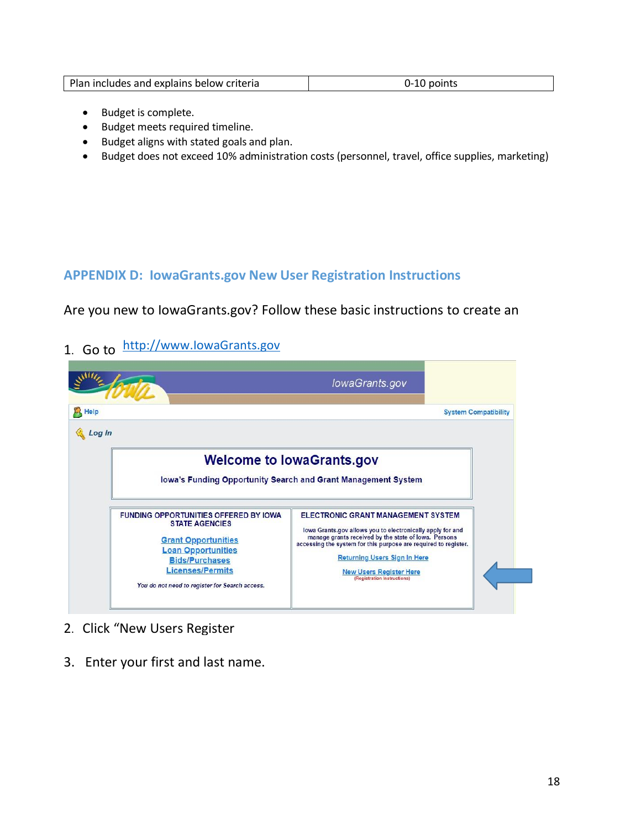| Plan includes and explains below criteria |  |
|-------------------------------------------|--|
|-------------------------------------------|--|

- Budget is complete.
- Budget meets required timeline.
- Budget aligns with stated goals and plan.
- Budget does not exceed 10% administration costs (personnel, travel, office supplies, marketing)

#### **APPENDIX D: IowaGrants.gov New User Registration Instructions**

Are you new to IowaGrants.gov? Follow these basic instructions to create an

1. Go [to](http://www.iowagrants.gov/) http://www.lowaGrants.gov



- 2. Click "New Users Register
- 3. Enter your first and last name.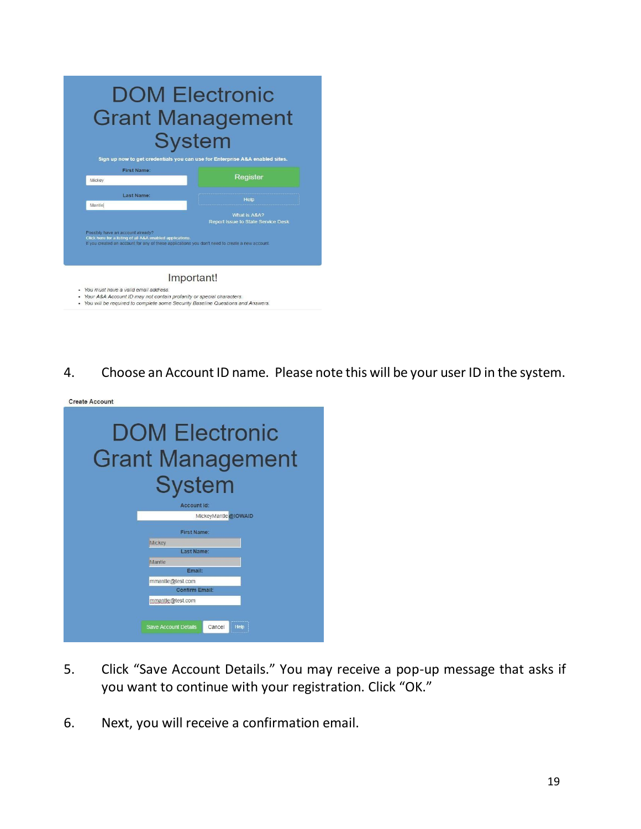|                                                                                                | <b>Grant Management</b><br><b>System</b><br>Sign up now to get credentials you can use for Enterprise A&A enabled sites.              |
|------------------------------------------------------------------------------------------------|---------------------------------------------------------------------------------------------------------------------------------------|
| <b>First Name:</b><br>Mickey                                                                   | Register                                                                                                                              |
| Last Name:                                                                                     |                                                                                                                                       |
| Mantlel                                                                                        | Help<br>What is A&A?                                                                                                                  |
| Possibly have an account already?<br>Click here for a listing of all A&A enabled applications. | Report Issue to State Service Desk<br>If you created an account for any of these applications you don't need to create a new account. |

- · You will be required to complete some Security Baseline Questions and Answers.
- 4. Choose an Account ID name. Please note this will be your user ID in the system.

| <b>Create Account</b> |                                                                   |  |  |  |  |  |  |
|-----------------------|-------------------------------------------------------------------|--|--|--|--|--|--|
|                       | <b>DOM Electronic</b><br><b>Grant Management</b><br><b>System</b> |  |  |  |  |  |  |
|                       |                                                                   |  |  |  |  |  |  |
| Account Id:           |                                                                   |  |  |  |  |  |  |
|                       | MickeyMantle @IOWAID                                              |  |  |  |  |  |  |
|                       | First Name:                                                       |  |  |  |  |  |  |
|                       | Mickey                                                            |  |  |  |  |  |  |
|                       | Last Name:                                                        |  |  |  |  |  |  |
|                       | <b>Mantle</b>                                                     |  |  |  |  |  |  |
|                       | Email:                                                            |  |  |  |  |  |  |
|                       | mmantle@test.com                                                  |  |  |  |  |  |  |
|                       | <b>Confirm Email:</b>                                             |  |  |  |  |  |  |
|                       | mmantle@test.com                                                  |  |  |  |  |  |  |
|                       |                                                                   |  |  |  |  |  |  |
|                       | <b>Save Account Details</b><br>Cancel<br>Help                     |  |  |  |  |  |  |
|                       |                                                                   |  |  |  |  |  |  |

- 5. Click "Save Account Details." You may receive a pop-up message that asks if you want to continue with your registration. Click "OK."
- 6. Next, you will receive a confirmation email.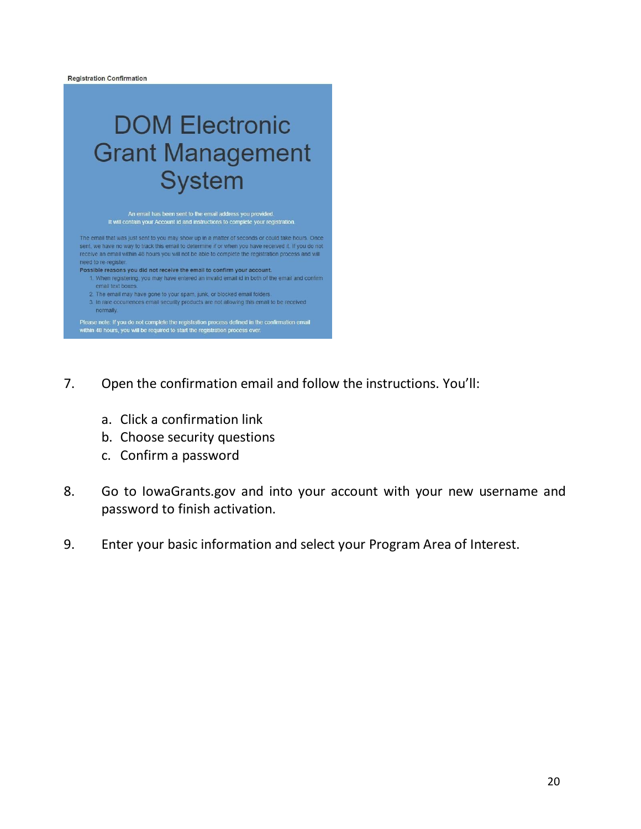

- 7. Open the confirmation email and follow the instructions. You'll:
	- a. Click a confirmation link
	- b. Choose security questions
	- c. Confirm a password
- 8. Go to IowaGrants.gov and into your account with your new username and password to finish activation.
- 9. Enter your basic information and select your Program Area of Interest.